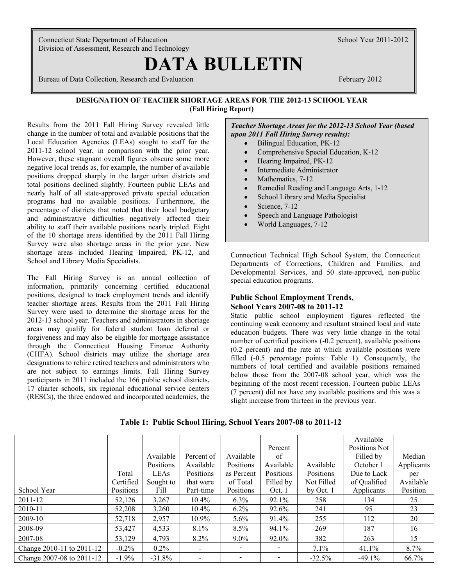Connecticut State Department of Education School Year 2011-2012 Division of Assessment, Research and Technology

# **DATA BULLETIN**

Bureau of Data Collection, Research and Evaluation February 2012

# **DESIGNATION OF TEACHER SHORTAGE AREAS FOR THE 2012-13 SCHOOL YEAR (Fall Hiring Report)**

Results from the 2011 Fall Hiring Survey revealed little change in the number of total and available positions that the Local Education Agencies (LEAs) sought to staff for the 2011-12 school year, in comparison with the prior year. However, these stagnant overall figures obscure some more negative local trends as, for example, the number of available positions dropped sharply in the larger urban districts and total positions declined slightly. Fourteen public LEAs and nearly half of all state-approved private special education programs had no available positions. Furthermore, the percentage of districts that noted that their local budgetary and administrative difficulties negatively affected their ability to staff their available positions nearly tripled. Eight of the 10 shortage areas identified by the 2011 Fall Hiring Survey were also shortage areas in the prior year. New shortage areas included Hearing Impaired, PK-12, and School and Library Media Specialists.

The Fall Hiring Survey is an annual collection of information, primarily concerning certified educational positions, designed to track employment trends and identify teacher shortage areas. Results from the 2011 Fall Hiring Survey were used to determine the shortage areas for the 2012-13 school year. Teachers and administrators in shortage areas may qualify for federal student loan deferral or forgiveness and may also be eligible for mortgage assistance through the Connecticut Housing Finance Authority (CHFA). School districts may utilize the shortage area designations to rehire retired teachers and administrators who are not subject to earnings limits. Fall Hiring Survey participants in 2011 included the 166 public school districts, 17 charter schools, six regional educational service centers (RESCs), the three endowed and incorporated academies, the *Teacher Shortage Areas for the 2012-13 School Year (based upon 2011 Fall Hiring Survey results):*

- Bilingual Education, PK-12
- Comprehensive Special Education, K-12
- Hearing Impaired, PK-12
- Intermediate Administrator
- Mathematics, 7-12
- Remedial Reading and Language Arts, 1-12
- School Library and Media Specialist
- Science, 7-12
- Speech and Language Pathologist
- World Languages, 7-12

Connecticut Technical High School System, the Connecticut Departments of Corrections, Children and Families, and Developmental Services, and 50 state-approved, non-public special education programs.

# **Public School Employment Trends, School Years 2007-08 to 2011-12**

Static public school employment figures reflected the continuing weak economy and resultant strained local and state education budgets. There was very little change in the total number of certified positions (-0.2 percent), available positions (0.2 percent) and the rate at which available positions were filled (-0.5 percentage points: Table 1). Consequently, the numbers of total certified and available positions remained below those from the 2007-08 school year, which was the beginning of the most recent recession. Fourteen public LEAs (7 percent) did not have any available positions and this was a slight increase from thirteen in the previous year.

**Table 1: Public School Hiring, School Years 2007-08 to 2011-12**

|                           |           |                  |                          |                          |           |            | Available     |            |
|---------------------------|-----------|------------------|--------------------------|--------------------------|-----------|------------|---------------|------------|
|                           |           |                  |                          |                          | Percent   |            | Positions Not |            |
|                           |           | Available        | Percent of               | Available                | of        |            | Filled by     | Median     |
|                           |           | Positions        | Available                | Positions                | Available | Available  | October 1     | Applicants |
|                           | Total     | LEA <sub>s</sub> | Positions                | as Percent               | Positions | Positions  | Due to Lack   | per        |
|                           | Certified | Sought to        | that were                | of Total                 | Filled by | Not Filled | of Qualified  | Available  |
| School Year               | Positions | Fill             | Part-time                | Positions                | Oct. 1    | by Oct. 1  | Applicants    | Position   |
| 2011-12                   | 52,126    | 3,267            | $10.4\%$                 | 6.3%                     | 92.1%     | 258        | 134           | 25         |
| 2010-11                   | 52,208    | 3,260            | $10.4\%$                 | $6.2\%$                  | 92.6%     | 241        | 95            | 23         |
| 2009-10                   | 52,718    | 2,957            | 10.9%                    | $5.6\%$                  | 91.4%     | 255        | 112           | 20         |
| 2008-09                   | 53,427    | 4,533            | $8.1\%$                  | 8.5%                     | 94.1%     | 269        | 187           | 16         |
| 2007-08                   | 53,129    | 4,793            | 8.2%                     | $9.0\%$                  | 92.0%     | 382        | 263           | 15         |
| Change 2010-11 to 2011-12 | $-0.2\%$  | $0.2\%$          | $\overline{\phantom{a}}$ |                          |           | 7.1%       | 41.1%         | 8.7%       |
| Change 2007-08 to 2011-12 | $-1.9\%$  | $-31.8%$         | $\overline{\phantom{0}}$ | $\overline{\phantom{a}}$ |           | $-32.5%$   | $-49.1%$      | 66.7%      |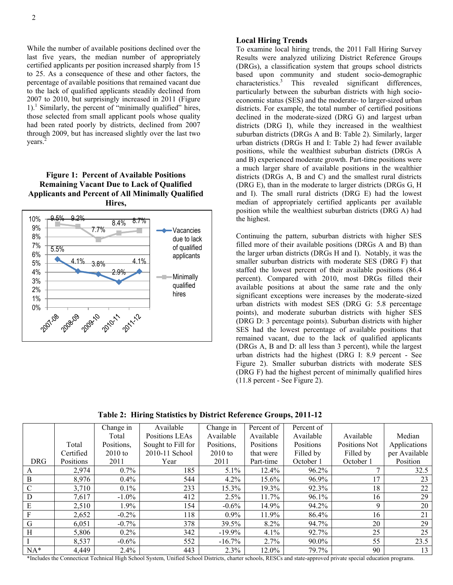1 last five years, the median number of appropriately While the number of available positions declined over the certified applicants per position increased sharply from 15 to 25. As a consequence of these and other factors, the percentage of available positions that remained vacant due to the lack of qualified applicants steadily declined from 2007 to 2010, but surprisingly increased in 2011 (Figure 1).<sup>1</sup> Similarly, the percent of "minimally qualified" hires, those selected from small applicant pools whose quality had been rated poorly by districts, declined from 2007 through 2009, but has increased slightly over the last two years. 2

# **Figure 1: Percent of Available Positions Remaining Vacant Due to Lack of Qualified Applicants and Percent of All Minimally Qualified Hires,**



## **Local Hiring Trends**

To examine local hiring trends, the 2011 Fall Hiring Survey Results were analyzed utilizing District Reference Groups (DRGs), a classification system that groups school districts based upon community and student socio-demographic characteristics. <sup>3</sup> This revealed significant differences, particularly between the suburban districts with high socioeconomic status (SES) and the moderate- to larger-sized urban districts. For example, the total number of certified positions declined in the moderate-sized (DRG G) and largest urban districts (DRG I), while they increased in the wealthiest suburban districts (DRGs A and B: Table 2). Similarly, larger urban districts (DRGs H and I: Table 2) had fewer available positions, while the wealthiest suburban districts (DRGs A and B) experienced moderate growth. Part-time positions were a much larger share of available positions in the wealthier districts (DRGs A, B and C) and the smallest rural districts (DRG E), than in the moderate to larger districts (DRGs G, H and I). The small rural districts (DRG E) had the lowest median of appropriately certified applicants per available position while the wealthiest suburban districts (DRG A) had the highest.

Continuing the pattern, suburban districts with higher SES filled more of their available positions (DRGs A and B) than the larger urban districts (DRGs H and I). Notably, it was the smaller suburban districts with moderate SES (DRG F) that staffed the lowest percent of their available positions (86.4 percent). Compared with 2010, most DRGs filled their available positions at about the same rate and the only significant exceptions were increases by the moderate-sized urban districts with modest SES (DRG G: 5.8 percentage points), and moderate suburban districts with higher SES (DRG D: 3 percentage points). Suburban districts with higher SES had the lowest percentage of available positions that remained vacant, due to the lack of qualified applicants (DRGs A, B and D: all less than 3 percent), while the largest urban districts had the highest (DRG I: 8.9 percent - See Figure 2). Smaller suburban districts with moderate SES (DRG F) had the highest percent of minimally qualified hires (11.8 percent - See Figure 2).

**Table 2: Hiring Statistics by District Reference Groups, 2011-12**

|               |           | Change in  | Available          | Change in  | Percent of | Percent of |               |               |
|---------------|-----------|------------|--------------------|------------|------------|------------|---------------|---------------|
|               |           | Total      | Positions LEAs     | Available  | Available  | Available  | Available     | Median        |
|               | Total     | Positions, | Sought to Fill for | Positions, | Positions  | Positions  | Positions Not | Applications  |
|               | Certified | $2010$ to  | 2010-11 School     | $2010$ to  | that were  | Filled by  | Filled by     | per Available |
| <b>DRG</b>    | Positions | 2011       | Year               | 2011       | Part-time  | October 1  | October 1     | Position      |
| A             | 2,974     | $0.7\%$    | 185                | 5.1%       | $12.4\%$   | 96.2%      |               | 32.5          |
| $\mathbf{B}$  | 8,976     | $0.4\%$    | 544                | 4.2%       | 15.6%      | 96.9%      | 17            | 23            |
| $\mathcal{C}$ | 3,710     | $0.1\%$    | 233                | 15.3%      | 19.3%      | 92.3%      | 18            | 22            |
| D             | 7,617     | $-1.0\%$   | 412                | 2.5%       | 11.7%      | 96.1%      | 16            | 29            |
| E             | 2,510     | 1.9%       | 154                | $-0.6\%$   | 14.9%      | 94.2%      | 9             | 20            |
| $\rm F$       | 2,652     | $-0.2\%$   | 118                | $0.9\%$    | 11.9%      | 86.4%      | 16            | 21            |
| G             | 6,051     | $-0.7\%$   | 378                | 39.5%      | 8.2%       | 94.7%      | 20            | 29            |
| H             | 5,806     | $0.2\%$    | 342                | $-19.9%$   | 4.1%       | 92.7%      | 25            | 25            |
|               | 8,537     | $-0.6\%$   | 552                | $-16.7\%$  | 2.7%       | 90.0%      | 55            | 23.5          |
| $NA^*$        | 4,449     | $2.4\%$    | 443                | 2.3%       | 12.0%      | 79.7%      | 90            | 13            |

\*Includes the Connecticut Technical High School System, Unified School Districts, charter schools, RESCs and state-approved private special education programs.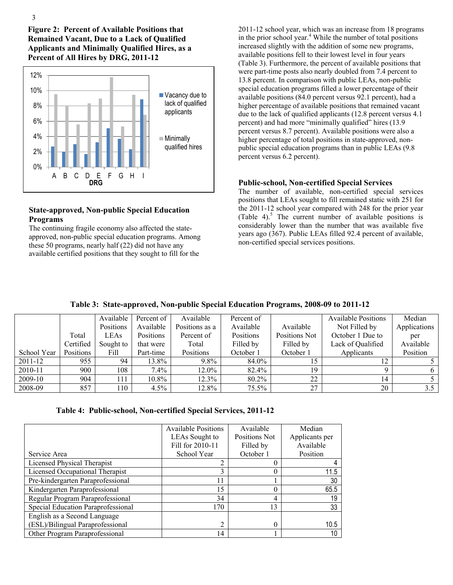**Figure 2: Percent of Available Positions that Remained Vacant, Due to a Lack of Qualified Applicants and Minimally Qualified Hires, as a Percent of All Hires by DRG, 2011-12**



# **State-approved, Non-public Special Education Programs**

The continuing fragile economy also affected the stateapproved, non-public special education programs. Among these 50 programs, nearly half (22) did not have any available certified positions that they sought to fill for the

2011-12 school year, which was an increase from 18 programs in the prior school year.<sup>4</sup> While the number of total positions increased slightly with the addition of some new programs, available positions fell to their lowest level in four years (Table 3). Furthermore, the percent of available positions that were part-time posts also nearly doubled from 7.4 percent to 13.8 percent. In comparison with public LEAs, non-public special education programs filled a lower percentage of their available positions (84.0 percent versus 92.1 percent), had a higher percentage of available positions that remained vacant due to the lack of qualified applicants (12.8 percent versus 4.1 percent) and had more "minimally qualified" hires (13.9 percent versus 8.7 percent). Available positions were also a higher percentage of total positions in state-approved, nonpublic special education programs than in public LEAs (9.8 percent versus 6.2 percent).

# **Public-school, Non-certified Special Services**

The number of available, non-certified special services positions that LEAs sought to fill remained static with 251 for the 2011-12 school year compared with 248 for the prior year (Table 4).<sup>5</sup> The current number of available positions is considerably lower than the number that was available five years ago (367). Public LEAs filled 92.4 percent of available, non-certified special services positions.

|  | Table 3: State-approved, Non-public Special Education Programs, 2008-09 to 2011-12 |  |  |  |  |  |
|--|------------------------------------------------------------------------------------|--|--|--|--|--|
|--|------------------------------------------------------------------------------------|--|--|--|--|--|

|             |           | Available | Percent of | Available      | Percent of |               | <b>Available Positions</b> | Median       |
|-------------|-----------|-----------|------------|----------------|------------|---------------|----------------------------|--------------|
|             |           | Positions | Available  | Positions as a | Available  | Available     | Not Filled by              | Applications |
|             | Total     | LEAs      | Positions  | Percent of     | Positions  | Positions Not | October 1 Due to           | per          |
|             | Certified | Sought to | that were  | Total          | Filled by  | Filled by     | Lack of Qualified          | Available    |
| School Year | Positions | Fill      | Part-time  | Positions      | October 1  | October 1     | Applicants                 | Position     |
| 2011-12     | 955       | 94        | 13.8%      | $9.8\%$        | 84.0%      |               | 12                         |              |
| 2010-11     | 900       | 108       | $7.4\%$    | 12.0%          | 82.4%      | 19            |                            |              |
| 2009-10     | 904       | 111       | $10.8\%$   | 12.3%          | 80.2%      | 22            | 14                         |              |
| 2008-09     | 857       | 10        | 4.5%       | 12.8%          | $75.5\%$   | 27            | 20                         | 3.5          |

|                                    | <b>Available Positions</b> | Available     | Median         |
|------------------------------------|----------------------------|---------------|----------------|
|                                    | LEAs Sought to             | Positions Not | Applicants per |
|                                    | Fill for 2010-11           | Filled by     | Available      |
| Service Area                       | School Year                | October 1     | Position       |
| Licensed Physical Therapist        | $\overline{2}$             |               |                |
| Licensed Occupational Therapist    | 3                          |               | 11.5           |
| Pre-kindergarten Paraprofessional  | 11                         |               | 30             |
| Kindergarten Paraprofessional      | 15                         | 0             | 65.5           |
| Regular Program Paraprofessional   | 34                         | 4             | 19             |
| Special Education Paraprofessional | 170                        | 13            | 33             |
| English as a Second Language       |                            |               |                |
| (ESL)/Bilingual Paraprofessional   | $\overline{c}$             | $\Omega$      | 10.5           |
| Other Program Paraprofessional     | 14                         |               | 10             |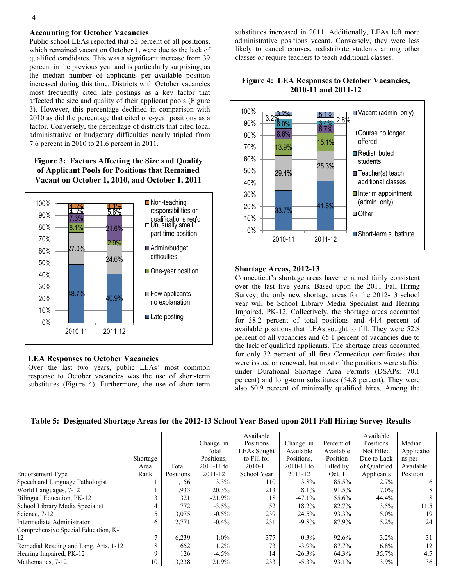# 4

#### **Accounting for October Vacancies**

Public school LEAs reported that 52 percent of all positions, which remained vacant on October 1, were due to the lack of qualified candidates. This was a significant increase from 39 percent in the previous year and is particularly surprising, as the median number of applicants per available position increased during this time. Districts with October vacancies most frequently cited late postings as a key factor that affected the size and quality of their applicant pools (Figure 3). However, this percentage declined in comparison with 2010 as did the percentage that cited one-year positions as a factor. Conversely, the percentage of districts that cited local administrative or budgetary difficulties nearly tripled from 7.6 percent in 2010 to 21.6 percent in 2011.

**Figure 3: Factors Affecting the Size and Quality of Applicant Pools for Positions that Remained Vacant on October 1, 2010, and October 1, 2011**



## **LEA Responses to October Vacancies**

Over the last two years, public LEAs' most common response to October vacancies was the use of short-term substitutes (Figure 4). Furthermore, the use of short-term

substitutes increased in 2011. Additionally, LEAs left more administrative positions vacant. Conversely, they were less likely to cancel courses, redistribute students among other classes or require teachers to teach additional classes.



## **Figure 4: LEA Responses to October Vacancies, 2010-11 and 2011-12**

#### **Shortage Areas, 2012-13**

Connecticut's shortage areas have remained fairly consistent over the last five years. Based upon the 2011 Fall Hiring Survey, the only new shortage areas for the 2012-13 school year will be School Library Media Specialist and Hearing Impaired, PK-12. Collectively, the shortage areas accounted for 38.2 percent of total positions and 44.4 percent of available positions that LEAs sought to fill. They were 52.8 percent of all vacancies and 65.1 percent of vacancies due to the lack of qualified applicants. The shortage areas accounted for only 32 percent of all first Connecticut certificates that were issued or renewed, but most of the positions were staffed under Durational Shortage Area Permits (DSAPs: 70.1 percent) and long-term substitutes (54.8 percent). They were also 60.9 percent of minimally qualified hires. Among the

|                                       |          |           |                | Available          |                |            | Available    |            |
|---------------------------------------|----------|-----------|----------------|--------------------|----------------|------------|--------------|------------|
|                                       |          |           | Change in      | Positions          | Change in      | Percent of | Positions    | Median     |
|                                       |          |           | Total          | <b>LEAs Sought</b> | Available      | Available  | Not Filled   | Applicatio |
|                                       | Shortage |           | Positions.     | to Fill for        | Positions.     | Position   | Due to Lack  | ns per     |
|                                       | Area     | Total     | $2010 - 11$ to | 2010-11            | $2010 - 11$ to | Filled by  | of Qualified | Available  |
| Endorsement Type                      | Rank     | Positions | 2011-12        | School Year        | 2011-12        | Oct. 1     | Applicants   | Position   |
| Speech and Language Pathologist       |          | 1,156     | 3.3%           | 110                | $3.8\%$        | 85.5%      | 12.7%        | 6          |
| World Languages, 7-12                 |          | 1,933     | 20.3%          | 213                | 8.1%           | 91.5%      | $7.0\%$      | 8          |
| Bilingual Education, PK-12            | 3        | 321       | $-21.9%$       | 18                 | $-47.1%$       | 55.6%      | 44.4%        | 8          |
| School Library Media Specialist       | 4        | 772       | $-3.5\%$       | 52                 | 18.2%          | 82.7%      | 13.5%        | 11.5       |
| Science, 7-12                         | 5        | 3,075     | $-0.5\%$       | 239                | 24.5%          | 93.3%      | $5.0\%$      | 19         |
| Intermediate Administrator            | 6        | 2,771     | $-0.4\%$       | 231                | $-9.8%$        | 87.9%      | $5.2\%$      | 24         |
| Comprehensive Special Education, K-   |          |           |                |                    |                |            |              |            |
| 12                                    | ⇁        | 6,239     | $1.0\%$        | 377                | $0.3\%$        | 92.6%      | $3.2\%$      | 31         |
| Remedial Reading and Lang. Arts, 1-12 | 8        | 652       | 1.2%           | 73                 | $-3.9\%$       | 87.7%      | $6.8\%$      | 12         |
| Hearing Impaired, PK-12               | 9        | 126       | $-4.5\%$       | 14                 | $-26.3%$       | 64.3%      | 35.7%        | 4.5        |
| Mathematics, 7-12                     | 10       | 3,238     | 21.9%          | 233                | $-5.3\%$       | 93.1%      | $3.9\%$      | 36         |

#### **Table 5: Designated Shortage Areas for the 2012-13 School Year Based upon 2011 Fall Hiring Survey Results**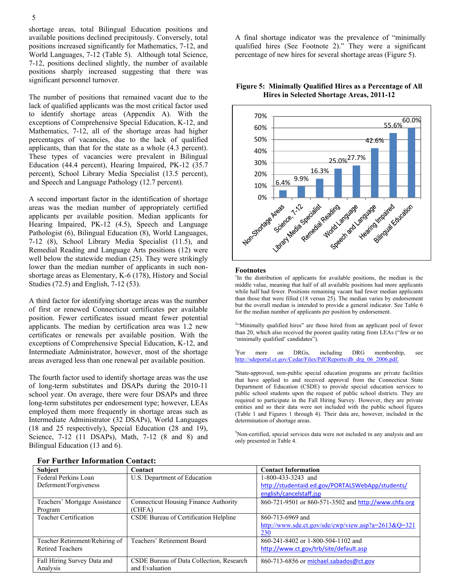shortage areas, total Bilingual Education positions and available positions declined precipitously. Conversely, total positions increased significantly for Mathematics, 7-12, and World Languages, 7-12 (Table 5). Although total Science, 7-12, positions declined slightly, the number of available positions sharply increased suggesting that there was significant personnel turnover.

The number of positions that remained vacant due to the lack of qualified applicants was the most critical factor used to identify shortage areas (Appendix A). With the exceptions of Comprehensive Special Education, K-12, and Mathematics, 7-12, all of the shortage areas had higher percentages of vacancies, due to the lack of qualified applicants, than that for the state as a whole (4.3 percent). These types of vacancies were prevalent in Bilingual Education (44.4 percent), Hearing Impaired, PK-12 (35.7 percent), School Library Media Specialist (13.5 percent), and Speech and Language Pathology (12.7 percent).

A second important factor in the identification of shortage areas was the median number of appropriately certified applicants per available position. Median applicants for Hearing Impaired, PK-12 (4.5), Speech and Language Pathologist (6), Bilingual Education (8), World Languages, 7-12 (8), School Library Media Specialist (11.5), and Remedial Reading and Language Arts positions (12) were well below the statewide median  $(25)$ . They were strikingly lower than the median number of applicants in such nonshortage areas as Elementary, K-6 (178), History and Social Studies (72.5) and English, 7-12 (53).

A third factor for identifying shortage areas was the number of first or renewed Connecticut certificates per available position. Fewer certificates issued meant fewer potential applicants. The median by certification area was 1.2 new certificates or renewals per available position. With the exceptions of Comprehensive Special Education, K-12, and Intermediate Administrator, however, most of the shortage areas averaged less than one renewal per available position.

The fourth factor used to identify shortage areas was the use of long-term substitutes and DSAPs during the 2010-11 school year. On average, there were four DSAPs and three long-term substitutes per endorsement type; however, LEAs employed them more frequently in shortage areas such as Intermediate Administrator (32 DSAPs), World Languages (18 and 25 respectively), Special Education (28 and 19), Science, 7-12 (11 DSAPs), Math, 7-12 (8 and 8) and Bilingual Education (13 and 6).

A final shortage indicator was the prevalence of "minimally qualified hires (See Footnote 2)." They were a significant percentage of new hires for several shortage areas (Figure 5).



## **Figure 5: Minimally Qualified Hires as a Percentage of All Hires in Selected Shortage Areas, 2011-12**

#### **Footnotes**

<sup>1</sup>In the distribution of applicants for available positions, the median is the middle value, meaning that half of all available positions had more applicants while half had fewer. Positions remaining vacant had fewer median applicants than those that were filled (18 versus 25). The median varies by endorsement but the overall median is intended to provide a general indicator. See Table 6 for the median number of applicants per position by endorsement.

<sup>2</sup>"Minimally qualified hires" are those hired from an applicant pool of fewer than 20, which also received the poorest quality rating from LEAs ("few or no 'minimally qualified' candidates").

 ${}^{3}$ For more on DRGs, including DRG membership, see [http://sdeportal.ct.gov/Cedar/Files/Pdf/Reports/db\\_drg\\_06\\_2006.pdf.](http://sdeportal.ct.gov/Cedar/Files/Pdf/Reports/db_drg_06_2006.pdf)

4 State-approved, non-public special education programs are private facilities that have applied to and received approval from the Connecticut State Department of Education (CSDE) to provide special education services to public school students upon the request of public school districts. They are required to participate in the Fall Hiring Survey. However, they are private entities and so their data were not included with the public school figures (Table 1 and Figures 1 through 4). Their data are, however, included in the determination of shortage areas.

<sup>5</sup>Non-certified, special services data were not included in any analysis and are only presented in Table 4.

| <b>Subject</b>                 | Contact                                      | <b>Contact Information</b>                              |
|--------------------------------|----------------------------------------------|---------------------------------------------------------|
| Federal Perkins Loan           | U.S. Department of Education                 | 1-800-433-3243 and                                      |
| Deferment/Forgiveness          |                                              | http://studentaid.ed.gov/PORTALSWebApp/students/        |
|                                |                                              | english/cancelstaff.jsp                                 |
| Teachers' Mortgage Assistance  | <b>Connecticut Housing Finance Authority</b> | 860-721-9501 or 860-571-3502 and http://www.chfa.org    |
| Program                        | (CHFA)                                       |                                                         |
| <b>Teacher Certification</b>   | CSDE Bureau of Certification Helpline        | 860-713-6969 and                                        |
|                                |                                              | http://www.sde.ct.gov/sde/cwp/view.asp?a= $2613\&Q=321$ |
|                                |                                              | 230                                                     |
| Teacher Retirement/Rehiring of | Teachers' Retirement Board                   | 860-241-8402 or 1-800-504-1102 and                      |
| <b>Retired Teachers</b>        |                                              | http://www.ct.gov/trb/site/default.asp                  |
|                                |                                              |                                                         |
| Fall Hiring Survey Data and    | CSDE Bureau of Data Collection, Research     | 860-713-6856 or michael.sabados@ct.gov                  |
| Analysis                       | and Evaluation                               |                                                         |

|  |  | <b>For Further Information Contact:</b> |  |
|--|--|-----------------------------------------|--|
|--|--|-----------------------------------------|--|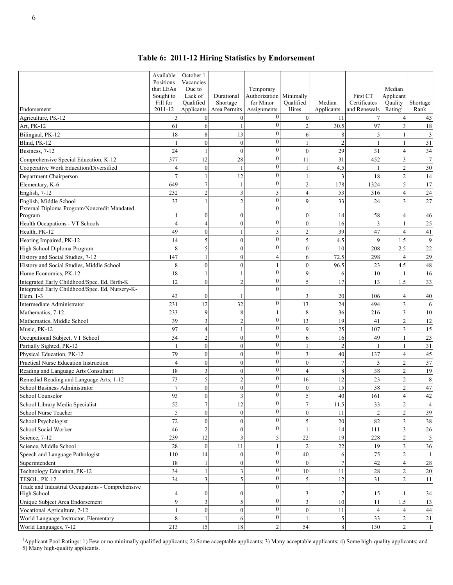|  |  |  |  |  | Table 6: 2011-12 Hiring Statistics by Endorsement |
|--|--|--|--|--|---------------------------------------------------|
|--|--|--|--|--|---------------------------------------------------|

| Endorsement                                                      | Available<br>Positions<br>that LEAs<br>Sought to<br>Fill for<br>2011-12 | October 1<br>Vacancies<br>Due to<br>Lack of<br>Oualified<br>Applicants | Durational<br>Shortage<br>Area Permits | Temporary<br>Authorization<br>for Minor<br>Assignments | Minimally<br>Oualified<br>Hires | Median<br>Applicants | <b>First CT</b><br>Certificates<br>and Renewals | Median<br>Applicant<br>Quality<br>Rating | Shortage<br>Rank |
|------------------------------------------------------------------|-------------------------------------------------------------------------|------------------------------------------------------------------------|----------------------------------------|--------------------------------------------------------|---------------------------------|----------------------|-------------------------------------------------|------------------------------------------|------------------|
| Agriculture, PK-12                                               | 3                                                                       |                                                                        | $\overline{0}$                         | $\theta$                                               | $\overline{0}$                  | 11                   |                                                 |                                          | 43               |
| Art, PK-12                                                       | 61                                                                      | 6                                                                      | 1                                      | $\mathbf{0}$                                           | $\overline{c}$                  | 30.5                 | 97                                              | 3                                        | 18               |
| Bilingual, PK-12                                                 | 18                                                                      | 8                                                                      | 13                                     | $\mathbf{0}$                                           | 6                               | 8                    | 5                                               |                                          | $\mathfrak{Z}$   |
| Blind, PK-12                                                     | $\mathbf{1}$                                                            | $\theta$                                                               | $\mathbf{0}$                           | $\mathbf{0}$                                           |                                 | $\overline{c}$       |                                                 |                                          | 31               |
| Business, 7-12                                                   | 24                                                                      |                                                                        | $\mathbf{0}$                           | $\mathbf{0}$                                           | $\overline{0}$                  | 29                   | 31                                              | $\overline{\mathcal{A}}$                 | 34               |
| Comprehensive Special Education, K-12                            | 377                                                                     | 12                                                                     | 28                                     | $\theta$                                               | 11                              | 31                   | 452                                             | 3                                        | $\overline{7}$   |
| Cooperative Work Education/Diversified                           | $\overline{4}$                                                          | $\theta$                                                               |                                        | $\theta$                                               |                                 | 4.5                  |                                                 | $\overline{c}$                           | 30               |
| Department Chairperson                                           | $\overline{7}$                                                          |                                                                        | 12                                     | $\overline{0}$                                         |                                 | 3                    | 18                                              | $\mathfrak{I}$                           | 14               |
| Elementary, K-6                                                  | 649                                                                     | $\overline{7}$                                                         | 1                                      | $\theta$                                               | $\overline{c}$                  | 178                  | 1324                                            | 5                                        | 17               |
| English, 7-12                                                    | 232                                                                     | $\overline{2}$                                                         | 3                                      | $\overline{3}$                                         | $\overline{\mathbf{4}}$         | 53                   | 316                                             | $\overline{4}$                           | 24               |
| English, Middle School                                           | 33                                                                      |                                                                        | $\overline{c}$                         | $\mathbf{0}$                                           | 9                               | 33                   | 24                                              | $\overline{3}$                           | 27               |
| External Diploma Program/Noncredit Mandated                      |                                                                         |                                                                        |                                        | $\theta$                                               |                                 |                      |                                                 |                                          |                  |
| Program                                                          | $\mathbf{1}$                                                            | $\theta$                                                               | $\boldsymbol{0}$                       |                                                        | $\mathbf{0}$                    | 14                   | 58                                              | $\overline{A}$                           | 46               |
| Health Occupations - VT Schools                                  | $\overline{4}$                                                          |                                                                        | $\mathbf{0}$                           | $\mathbf{0}$                                           | $\mathbf{0}$                    | 16                   | 3                                               | $\mathbf{1}$                             | 25               |
| Health, PK-12                                                    | 49                                                                      | $\theta$                                                               | $\mathbf{1}$                           | $\overline{3}$                                         | $\overline{2}$                  | 39                   | 47                                              | $\overline{A}$                           | 41               |
| Hearing Impaired, PK-12                                          | 14                                                                      | 5                                                                      | $\mathbf{0}$                           | $\mathbf{0}$                                           | 5                               | 4.5                  | 9                                               | 1.5                                      | 9                |
| High School Diploma Program                                      | 8                                                                       | 5                                                                      | $\mathbf{0}$                           | $\theta$                                               | $\overline{0}$                  | 10                   | 208                                             | 2.5                                      | $22\,$           |
| History and Social Studies, 7-12                                 | 147                                                                     |                                                                        | $\mathbf{0}$                           | $\overline{\mathcal{L}}$                               | 6                               | 72.5                 | 298                                             | $\overline{4}$                           | 29               |
| History and Social Studies, Middle School                        | 8                                                                       | $\theta$                                                               | $\theta$                               |                                                        | $\overline{0}$                  | 96.5                 | 23                                              | 4.5                                      | 48               |
| Home Economics, PK-12                                            | 18                                                                      |                                                                        | 1                                      | $\mathbf{0}$                                           | 9                               | 6                    | 10                                              |                                          | 16               |
| Integrated Early Childhood/Spec. Ed, Birth-K                     | 12                                                                      | $\theta$                                                               | $\overline{c}$                         | $\mathbf{0}$                                           | 5                               | 17                   | 13                                              | 1.5                                      | 33               |
| Integrated Early Childhood/Spec. Ed, Nursery-K-<br>Elem. 1-3     | 43                                                                      | $\mathbf{0}$                                                           | 1                                      | $\theta$                                               | 3                               | 20                   | 106                                             | 4                                        | 40               |
| Intermediate Administrator                                       | 231                                                                     | 12                                                                     | 32                                     | $\mathbf{0}$                                           | 13                              | 24                   | 494                                             | 3                                        | 6                |
| Mathematics, 7-12                                                | 233                                                                     | 9                                                                      | 8                                      |                                                        | 8                               | 36                   | 216                                             | 3                                        | 10               |
| Mathematics, Middle School                                       | 39                                                                      | 3                                                                      | $\overline{c}$                         | $\mathbf{0}$                                           | 13                              | 19                   | 41                                              | $\overline{c}$                           | 12               |
| Music, PK-12                                                     | 97                                                                      | 4                                                                      | 1                                      | $\theta$                                               | 9                               | 25                   | 107                                             | 3                                        | 15               |
| Occupational Subject, VT School                                  | 34                                                                      | $\overline{c}$                                                         | $\mathbf{0}$                           | $\theta$                                               | 6                               | 16                   | 49                                              | $\mathbf{1}$                             | $23\,$           |
| Partially Sighted, PK-12                                         | $\mathbf{1}$                                                            | $\theta$                                                               | $\mathbf{0}$                           | $\theta$                                               | 1                               | $\overline{c}$       |                                                 |                                          | 31               |
| Physical Education, PK-12                                        | 79                                                                      | $\theta$                                                               | $\mathbf{0}$                           | $\theta$                                               | 3                               | 40                   | 137                                             | $\overline{A}$                           | 45               |
| Practical Nurse Education Instruction                            | $\overline{4}$                                                          | $\theta$                                                               | $\theta$                               | $\theta$                                               | $\theta$                        | $\overline{7}$       | 3                                               | $\overline{c}$                           | 37               |
| Reading and Language Arts Consultant                             | 18                                                                      | 3                                                                      | $\mathbf{0}$                           | $\overline{0}$                                         | $\overline{4}$                  | 8                    | 38                                              | $\overline{2}$                           | 19               |
| Remedial Reading and Language Arts, 1-12                         | 73                                                                      | 5                                                                      | $\overline{c}$                         | $\theta$                                               | 16                              | 12                   | 23                                              | $\overline{c}$                           | $\,8\,$          |
| School Business Administrator                                    | $\overline{7}$                                                          | $\mathbf{0}$                                                           | $\mathbf{0}$                           | $\theta$                                               | $\mathbf{0}$                    | 15                   | 38                                              | $\overline{2}$                           | 47               |
| School Counselor                                                 | 93                                                                      | $\theta$                                                               | 3                                      | $\Omega$                                               | 5                               | 40                   | 161                                             | $\overline{A}$                           | 42               |
| School Library Media Specialist                                  | 52                                                                      | $\tau$                                                                 | 12                                     | $\overline{0}$                                         | $\boldsymbol{7}$                | 11.5                 | 33                                              | $\overline{2}$                           | $\overline{4}$   |
| School Nurse Teacher                                             | 5                                                                       | $\theta$                                                               | $\mathbf{0}$                           | $\theta$                                               | $\overline{0}$                  | 11                   | $\mathcal{D}_{\mathcal{L}}$                     | $\overline{2}$                           | 39               |
| School Psychologist                                              | 72                                                                      | $\mathbf{0}$                                                           | $\mathbf{0}$                           | $\mathbf{0}$                                           | 5                               | $20\,$               | 82                                              | 3                                        | 38               |
| School Social Worker                                             | 46                                                                      | $\mathfrak{2}$                                                         | $\boldsymbol{0}$                       | $\mathbf{0}$                                           |                                 | 14                   | 111                                             | 3                                        | 26               |
| Science, 7-12                                                    | 239                                                                     | 12                                                                     | $\overline{3}$                         | 5                                                      | 22                              | 19                   | 228                                             | $\overline{2}$                           | 5                |
| Science, Middle School                                           | 28                                                                      | $\mathbf{0}$                                                           | $11\,$                                 | $\mathbf{0}$                                           | $\overline{c}$                  | $22\,$               | 19                                              | 3                                        | 36               |
| Speech and Language Pathologist                                  | 110                                                                     | 14                                                                     | $\boldsymbol{0}$                       |                                                        | 40                              | 6                    | $75\,$                                          |                                          | 1                |
| Superintendent                                                   | 18                                                                      |                                                                        | $\boldsymbol{0}$                       | $\mathbf{0}$<br>$\mathbf{0}$                           | $\overline{0}$                  | $\overline{7}$       | 42                                              |                                          | $28\,$           |
| Technology Education, PK-12                                      | 34                                                                      |                                                                        | 3                                      | $\mathbf{0}$                                           | 10                              | 11                   | 28                                              | $\overline{c}$                           | 20               |
| TESOL, PK-12<br>Trade and Industrial Occupations - Comprehensive | 34                                                                      | 3                                                                      | 5                                      | $\Omega$                                               | 5                               | 12                   | 31                                              | $\overline{2}$                           | 11               |
| High School                                                      | 4                                                                       | $\theta$                                                               | $\mathbf{0}$                           |                                                        | 3                               | 7                    | 15                                              |                                          | 34               |
| Unique Subject Area Endorsement                                  | 9                                                                       | 3                                                                      | 5                                      | $\mathbf{0}$                                           | $\overline{\mathbf{3}}$         | $10\,$               | 11                                              | 1.5                                      | 13               |
| Vocational Agriculture, 7-12                                     | $\mathbf{1}$                                                            | $\theta$                                                               | $\boldsymbol{0}$                       | $\mathbf{0}$                                           | $\boldsymbol{0}$                | $11\,$               | $\boldsymbol{\varDelta}$                        |                                          | 44               |
| World Language Instructor, Elementary                            | 8                                                                       |                                                                        | 6                                      | $\boldsymbol{0}$                                       | 1                               | 5                    | 33                                              | 2                                        | 21               |
| World Languages, 7-12                                            | 213                                                                     | 15                                                                     | $18\,$                                 | $\overline{2}$                                         | 54                              | $\,$ 8 $\,$          | 130                                             | $\overline{2}$                           | $\mathbf{1}$     |

<sup>1</sup>Applicant Pool Ratings: 1) Few or no minimally qualified applicants; 2) Some acceptable applicants; 3) Many acceptable applicants; 4) Some high-quality applicants; and 5) Many high-quality applicants.